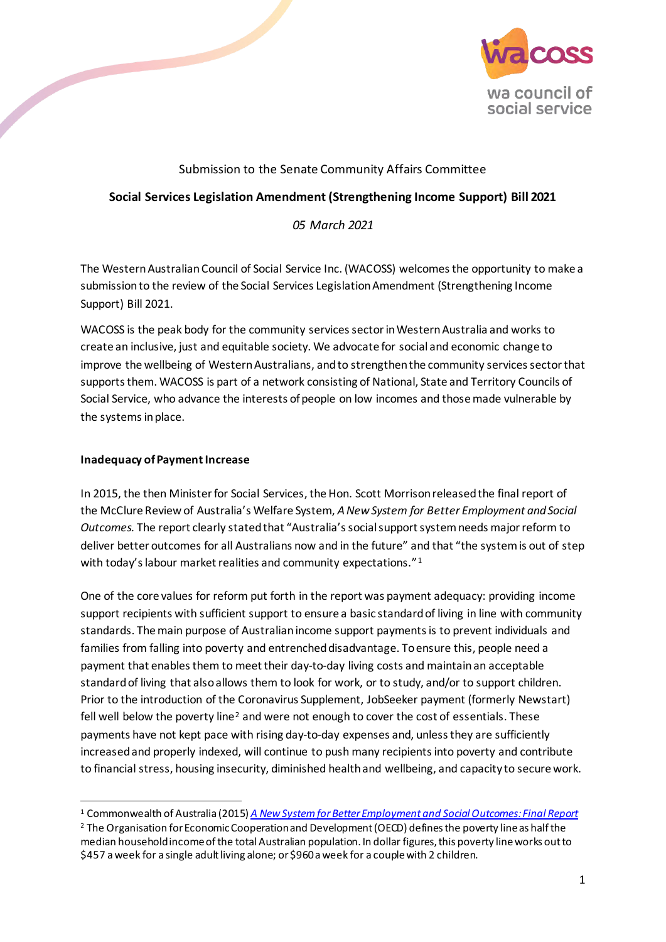

# Submission to the Senate Community Affairs Committee

## **Social Services Legislation Amendment (Strengthening Income Support) Bill 2021**

## *05 March 2021*

The Western Australian Council of Social Service Inc. (WACOSS) welcomes the opportunity to make a submission to the review of the Social Services Legislation Amendment (Strengthening Income Support) Bill 2021.

WACOSS is the peak body for the community services sector in Western Australia and works to create an inclusive, just and equitable society. We advocate for social and economic change to improve the wellbeing of Western Australians, and to strengthen the community services sector that supports them. WACOSS is part of a network consisting of National, State and Territory Councils of Social Service, who advance the interests of people on low incomes and thosemade vulnerable by the systems in place.

### **Inadequacy of Payment Increase**

In 2015, the then Minister for Social Services, the Hon. Scott Morrison released the final report of the McClure Review of Australia's Welfare System, *A New System for Better Employment and Social Outcomes.* The report clearly stated that "Australia's social support system needs major reform to deliver better outcomes for all Australians now and in the future" and that "the system is out of step with today's labour market realities and community expectations."<sup>[1](#page-0-0)</sup>

One of the core values for reform put forth in the report was payment adequacy: providing income support recipients with sufficient support to ensure a basic standard of living in line with community standards. The main purpose of Australian income support payments is to prevent individuals and families from falling into poverty and entrenched disadvantage. To ensure this, people need a payment that enables them to meet their day-to-day living costs and maintain an acceptable standard of living that alsoallows them to look for work, or to study, and/or to support children. Prior to the introduction of the Coronavirus Supplement, JobSeeker payment (formerly Newstart) fell well below the poverty line<sup>[2](#page-0-1)</sup> and were not enough to cover the cost of essentials. These payments have not kept pace with rising day-to-day expenses and, unless they are sufficiently increased and properly indexed, will continue to push many recipients into poverty and contribute to financial stress, housing insecurity, diminished health and wellbeing, and capacity to secure work.

<span id="page-0-0"></span><sup>1</sup> Commonwealth of Australia (2015) *[A New System for Better Employment and Social Outcomes: Final Report](https://www.dss.gov.au/sites/default/files/documents/02_2015/dss001_14_final_report_access_2.pdf)*

<span id="page-0-1"></span><sup>&</sup>lt;sup>2</sup> The Organisation for Economic Cooperation and Development (OECD) defines the poverty line as half the median household income of the total Australian population. In dollar figures, this poverty line works out to \$457 a week for a single adult living alone; or \$960 a week for a couple with 2 children.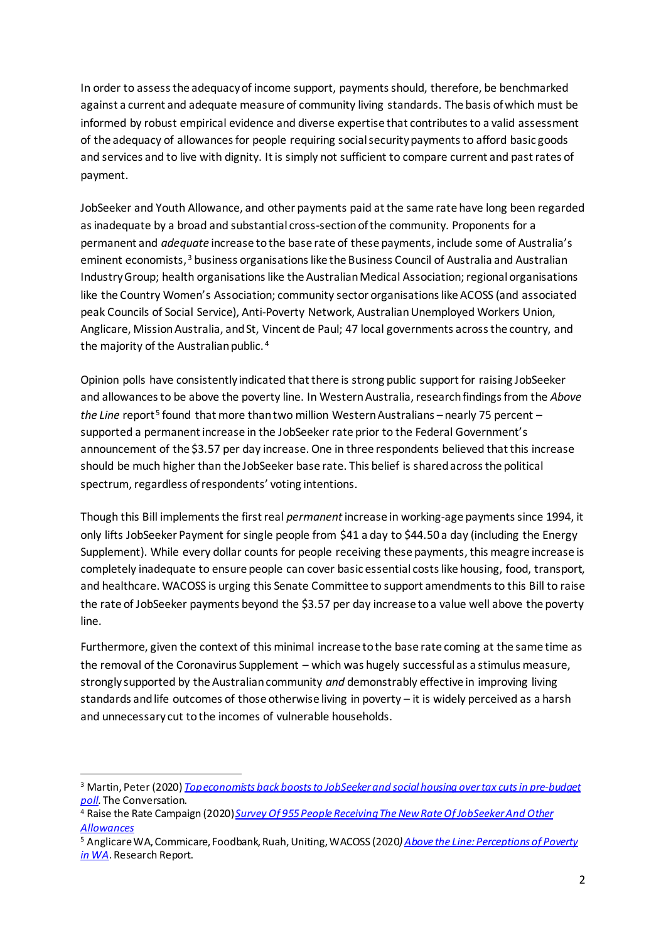In order to assess the adequacy of income support, payments should, therefore, be benchmarked against a current and adequate measure of community living standards. The basis of which must be informed by robust empirical evidence and diverse expertise that contributes to a valid assessment of the adequacy of allowances for people requiring social security payments to afford basic goods and services and to live with dignity. It is simply not sufficient to compare current and past rates of payment.

JobSeeker and Youth Allowance, and other payments paid at the same rate have long been regarded as inadequate by a broad and substantial cross-section of the community. Proponents for a permanent and *adequate* increase to the base rate of these payments, include some of Australia's eminent economists, [3](#page-1-0) business organisations like the Business Council of Australia and Australian Industry Group; health organisations like the Australian Medical Association; regional organisations like the Country Women's Association; community sector organisations like ACOSS (and associated peak Councils of Social Service), Anti-Poverty Network, Australian Unemployed Workers Union, Anglicare, Mission Australia, and St, Vincent de Paul; 47 local governments across the country, and the majority of the Australian public. [4](#page-1-1)

Opinion polls have consistently indicated that there is strong public support for raising JobSeeker and allowances to be above the poverty line. In Western Australia, research findings from the *Above the Line* report<sup>[5](#page-1-2)</sup> found that more than two million Western Australians – nearly 75 percent – supported a permanent increase in the JobSeeker rate prior to the Federal Government's announcement of the \$3.57 per day increase. One in three respondents believed that this increase should be much higher than the JobSeeker base rate. This belief is shared across the political spectrum, regardless of respondents' voting intentions.

Though this Bill implements the first real *permanent*increase in working-age payments since 1994, it only lifts JobSeeker Payment for single people from \$41 a day to \$44.50 a day (including the Energy Supplement). While every dollar counts for people receiving these payments, this meagre increase is completely inadequate to ensure people can cover basic essential costs like housing, food, transport, and healthcare. WACOSS is urging this Senate Committee to support amendments to this Bill to raise the rate of JobSeeker payments beyond the \$3.57 per day increase toa value well above the poverty line.

Furthermore, given the context of this minimal increase to the base rate coming at the same time as the removal of the Coronavirus Supplement – which was hugely successful as a stimulus measure, strongly supported by the Australian community *and* demonstrably effective in improving living standards and life outcomes of those otherwise living in poverty – it is widely perceived as a harsh and unnecessary cut to the incomes of vulnerable households.

<span id="page-1-0"></span><sup>3</sup> Martin, Peter (2020) *[Top economists back boosts to JobSeeker and](https://theconversation.com/top-economists-back-boosts-to-jobseeker-and-social-housing-over-tax-cuts-in-pre-budget-poll-146914) social housing over tax cuts in pre-budget [poll.](https://theconversation.com/top-economists-back-boosts-to-jobseeker-and-social-housing-over-tax-cuts-in-pre-budget-poll-146914)* The Conversation.

<span id="page-1-1"></span><sup>4</sup> Raise the Rate Campaign (2020) *[Survey Of 955 People Receiving The New Rate Of JobSeeker And Other](https://www.acoss.org.au/wp-content/uploads/2020/06/200624-I-Can-Finally-Eat-Fresh-Fruit-And-Vegetables-Results-Of-The-Coronaviru.._.pdf)  [Allowances](https://www.acoss.org.au/wp-content/uploads/2020/06/200624-I-Can-Finally-Eat-Fresh-Fruit-And-Vegetables-Results-Of-The-Coronaviru.._.pdf)*

<span id="page-1-2"></span><sup>5</sup> Anglicare WA, Commicare, Foodbank, Ruah, Uniting, WACOSS (2020*[\) Above the Line: Perceptions of Poverty](https://www.anglicarewa.org.au/docs/default-source/advocacy/above-the-line---perceptions-of-poverty-in-wa-report.pdf?sfvrsn=9c65bb47_4)  [in WA](https://www.anglicarewa.org.au/docs/default-source/advocacy/above-the-line---perceptions-of-poverty-in-wa-report.pdf?sfvrsn=9c65bb47_4)*. Research Report.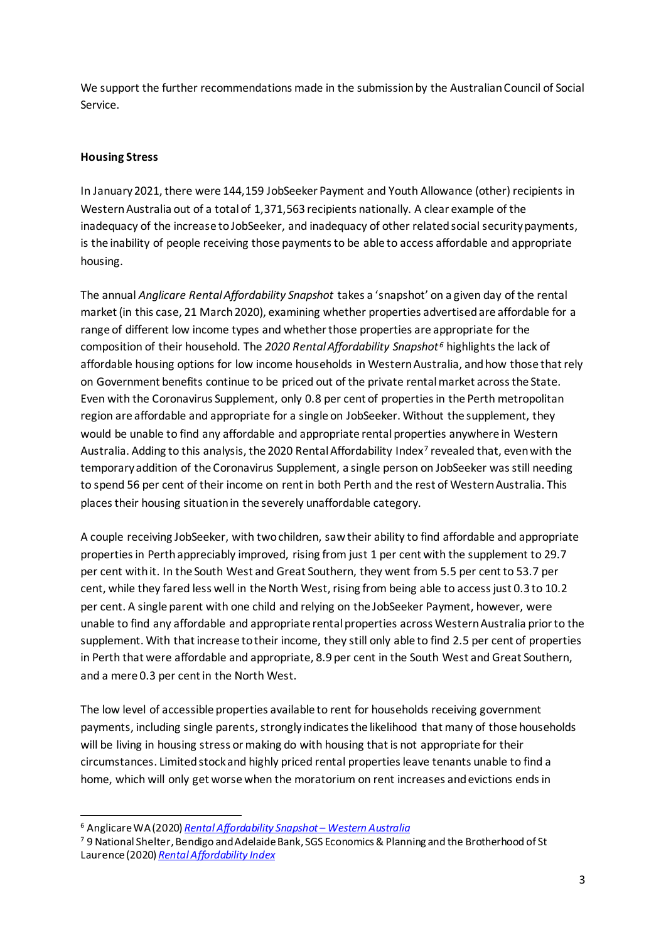We support the further recommendations made in the submission by the Australian Council of Social Service.

## **Housing Stress**

In January 2021, there were 144,159 JobSeeker Payment and Youth Allowance (other) recipients in Western Australia out of a total of 1,371,563 recipients nationally. A clear example of the inadequacy of the increase to JobSeeker, and inadequacy of other related social security payments, is the inability of people receiving those payments to be able to access affordable and appropriate housing.

The annual *Anglicare Rental Affordability Snapshot* takes a 'snapshot' on a given day of the rental market (in this case, 21 March 2020), examining whether properties advertised are affordable for a range of different low income types and whether those properties are appropriate for the composition of their household. The *2020 Rental Affordability Snapshot [6](#page-2-0)* highlights the lack of affordable housing options for low income households in Western Australia, and how those that rely on Government benefits continue to be priced out of the private rental market across the State. Even with the Coronavirus Supplement, only 0.8 per cent of properties in the Perth metropolitan region are affordable and appropriate for a single on JobSeeker. Without the supplement, they would be unable to find any affordable and appropriate rental properties anywhere in Western Australia. Adding to this analysis, the 2020 Rental Affordability Index<sup>[7](#page-2-1)</sup> revealed that, even with the temporary addition of the Coronavirus Supplement, a single person on JobSeeker was still needing to spend 56 per cent of their income on rent in both Perth and the rest of Western Australia. This places their housing situation in the severely unaffordable category.

A couple receiving JobSeeker, with two children, saw their ability to find affordable and appropriate properties in Perth appreciably improved, rising from just 1 per cent with the supplement to 29.7 per cent with it. In the South West and Great Southern, they went from 5.5 per cent to 53.7 per cent, while they fared less well in the North West, rising from being able to access just 0.3 to 10.2 per cent. A single parent with one child and relying on the JobSeeker Payment, however, were unable to find any affordable and appropriate rental properties across Western Australia prior to the supplement. With that increase to their income, they still only able to find 2.5 per cent of properties in Perth that were affordable and appropriate, 8.9 per cent in the South West and Great Southern, and a mere 0.3 per cent in the North West.

The low level of accessible properties available to rent for households receiving government payments, including single parents, strongly indicates the likelihood that many of those households will be living in housing stress or making do with housing that is not appropriate for their circumstances. Limited stock and highly priced rental properties leave tenants unable to find a home, which will only get worse when the moratorium on rent increases and evictions ends in

<span id="page-2-0"></span><sup>6</sup> Anglicare WA (2020) *[Rental Affordability Snapshot – Western Australia](https://www.anglicarewa.org.au/docs/default-source/advocacy/anglicare-wa---rental-affordability-snapshot-2020.pdf?sfvrsn=2a99bb4c_5)*

<span id="page-2-1"></span><sup>7</sup> 9 National Shelter, Bendigo and Adelaide Bank, SGS Economics & Planning and the Brotherhood of St Laurence (2020) *[Rental Affordability Index](http://shelter.org.au/site/wp-content/uploads/RAI-2020-FINAL_compressed.pdf)*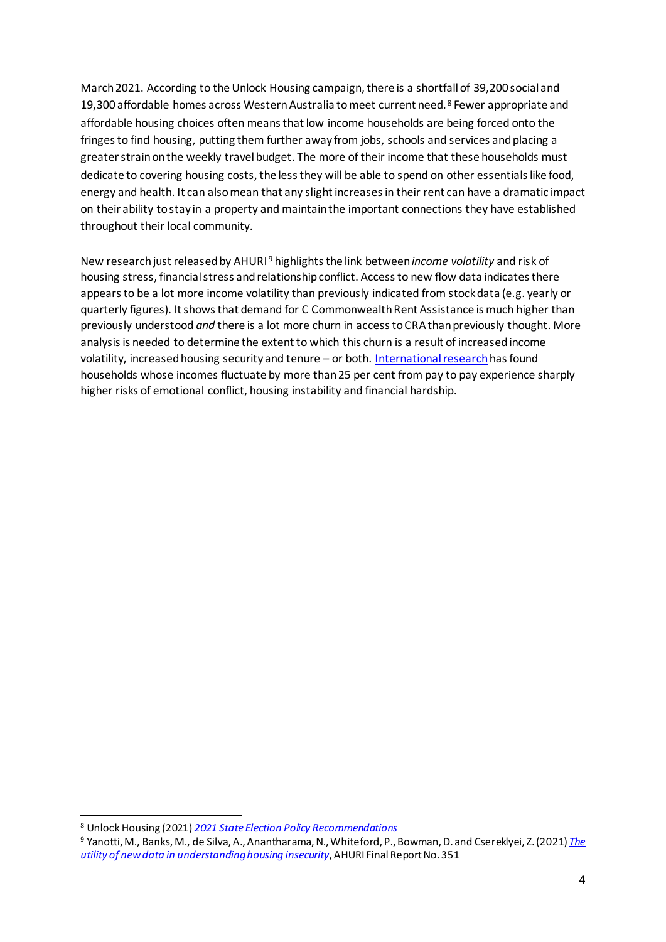March 2021. According to the Unlock Housing campaign, there is a shortfall of 39,200 social and 19,300 affordable homes across Western Australia to meet current need. [8](#page-3-0) Fewer appropriate and affordable housing choices often means that low income households are being forced onto the fringes to find housing, putting them further away from jobs, schools and services and placing a greater strain on the weekly travel budget. The more of their income that these households must dedicate to covering housing costs, the less they will be able to spend on other essentials like food, energy and health. It can also mean that any slight increases in their rent can have a dramatic impact on their ability to stay in a property and maintain the important connections they have established throughout their local community.

New research just released by AHURI [9](#page-3-1) highlights the link between *income volatility* and risk of housing stress, financial stress and relationship conflict. Access to new flow data indicates there appears to be a lot more income volatility than previously indicated from stockdata (e.g. yearly or quarterly figures). It shows that demand for C Commonwealth Rent Assistance is much higher than previously understood *and* there is a lot more churn in access to CRAthan previously thought. More analysis is needed to determine the extent to which this churn is a result of increased income volatility, increased housing security and tenure – or both. [International research](https://www.ahuri.edu.au/__data/assets/pdf_file/0037/66799/PES-FR351-Examining-new-data-to-better-understand-CRA-and-other-household-assistance-payments.pdf)has found households whose incomes fluctuate by more than 25 per cent from pay to pay experience sharply higher risks of emotional conflict, housing instability and financial hardship.

<span id="page-3-0"></span><sup>8</sup> Unlock Housing (2021) *[2021 State Election Policy Recommendations](https://www.unlockhousing.com.au/wp-content/uploads/2021/02/UNLOCK-HOUSING_election-platform_final.pdf)*

<span id="page-3-1"></span><sup>9</sup> Yanotti, M., Banks, M., de Silva, A., Anantharama, N., Whiteford, P., Bowman, D. and Csereklyei, Z. (2021) *[The](https://www.ahuri.edu.au/research/final-reports/351/)  [utility of new data in understanding housing insecurity](https://www.ahuri.edu.au/research/final-reports/351/)*, AHURI Final Report No. 351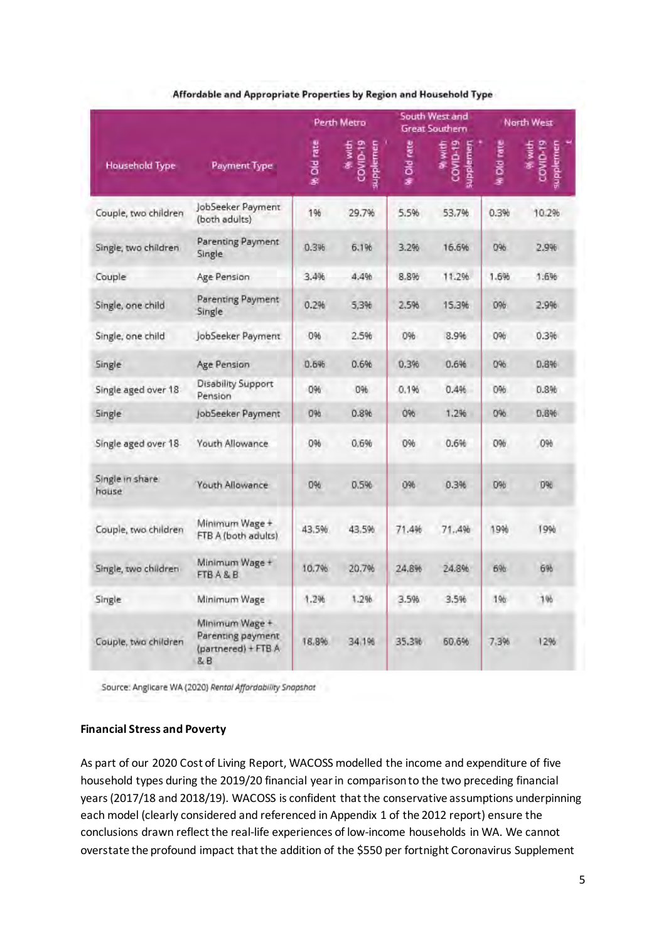|                          | Payment Type                                                     | Perth Metro |                                | South West and<br>Great Southern |                                 | North West        |                                           |
|--------------------------|------------------------------------------------------------------|-------------|--------------------------------|----------------------------------|---------------------------------|-------------------|-------------------------------------------|
| <b>Household Type</b>    |                                                                  | % Old rate  | COVID-19<br>96 with<br>pplemen | Old rate                         | 90 with<br>COVID-19<br>upplemen | <b>A Old rate</b> | COVID-19<br>96 with<br><b>iupplettien</b> |
| Couple, two children     | JobSeeker Payment<br>(both adults)                               | 196         | 29.7%                          | 5.5%                             | 53,7%                           | 0.3%              | 10.2%                                     |
| Single, two children     | Parenting Payment<br>Single                                      | 0.3%        | 6.1%                           | 3.2%                             | 16.696                          | 0%                | 2.9%                                      |
| Couple                   | Age Pension                                                      | 3.4%        | 4.4%                           | 8.8%                             | 11.2%                           | 1.6%              | 1.6%                                      |
| Single, one child        | Parenting Payment<br>Single                                      | 0.2%        | 5,3%                           | 2,5%                             | 15,3%                           | 0%                | 2.9%                                      |
| Single, one child        | JobSeeker Payment                                                | 0%          | 2.5%                           | 0%                               | 8.9%                            | 0%                | 0.3%                                      |
| Single                   | Age Pension                                                      | 0.6%        | 0.696                          | 0.396                            | 0.6%                            | 0%                | 0.8%                                      |
| Single aged over 18      | <b>Disability Support</b><br>Pension                             | 0%          | 0%                             | 0.196                            | 0.496                           | 0%                | 0.8%                                      |
| Single                   | JobSeeker Payment                                                | 0%          | 0.896                          | 096                              | 1.2%                            | 0%                | 0.6%                                      |
| Single aged over 18      | Youth Allowance                                                  | 0%          | 0.6%                           | 0%                               | 0.6%                            | 0%                | 0%                                        |
| Single in share<br>house | <b>Youth Allowance</b>                                           | 0%          | 0.5%                           | 0%                               | 0.3%                            | <b>D%</b>         | D%                                        |
| Couple, two children     | Minimum Wage +<br>FTB A (both adults)                            | 43.5%       | 43.5%                          | 71.4%                            | 71.4%                           | 19%               | 19%                                       |
| Single, two children     | Minimum Wage +<br>FTB A & B                                      | 10.7%       | 20.7%                          | 24.8%                            | 24.8%                           | 6%                | 6%                                        |
| Single                   | Minimum Wage                                                     | 1.2%        | 1.2%                           | 3.5%                             | 3.5%                            | 196.              | 1%                                        |
| Couple, two children     | Minimum Wage +<br>Parenting payment<br>(partnered) + FTB A<br>&B | 18,8%       | 34.196                         | 35.3%                            | 60.6%                           | 7.3%              | 12%                                       |

### Affordable and Appropriate Properties by Region and Household Type

Source: Anglicare WA (2020) Rental Affordability Snapshot

### **Financial Stress and Poverty**

As part of our 2020 Cost of Living Report, WACOSS modelled the income and expenditure of five household types during the 2019/20 financial year in comparison to the two preceding financial years (2017/18 and 2018/19). WACOSS is confident that the conservative assumptions underpinning each model (clearly considered and referenced in Appendix 1 of the 2012 report) ensure the conclusions drawn reflect the real-life experiences of low-income households in WA. We cannot overstate the profound impact that the addition of the \$550 per fortnight Coronavirus Supplement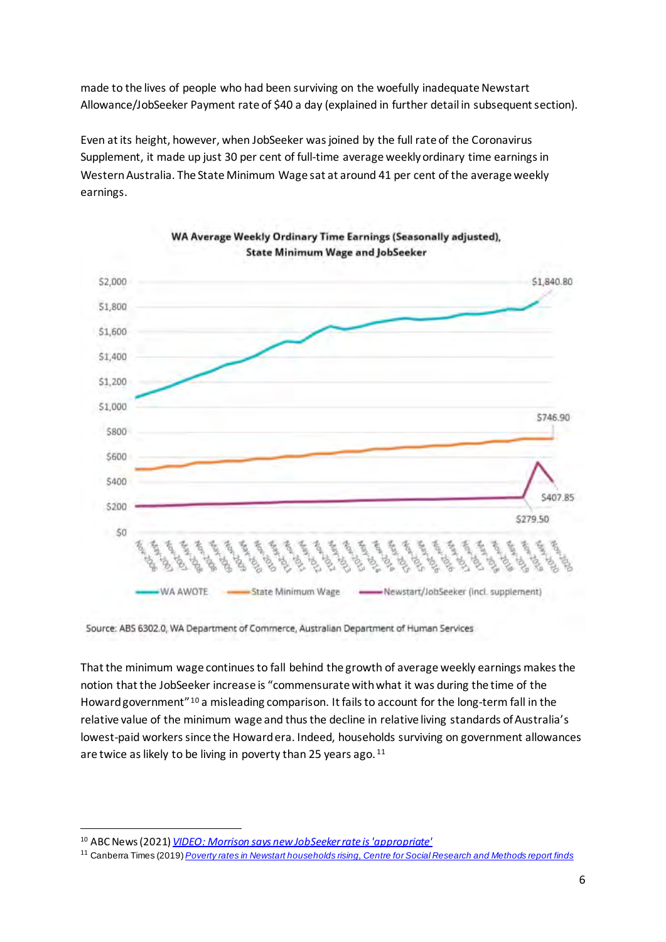made to the lives of people who had been surviving on the woefully inadequate Newstart Allowance/JobSeeker Payment rate of \$40 a day (explained in further detail in subsequent section).

Even at its height, however, when JobSeeker was joined by the full rate of the Coronavirus Supplement, it made up just 30 per cent of full-time average weekly ordinary time earnings in Western Australia. The State Minimum Wage sat at around 41 per cent of the average weekly earnings.



Source: ABS 6302.0, WA Department of Commerce, Australian Department of Human Services

That the minimum wage continuesto fall behind the growth of average weekly earnings makes the notion that the JobSeeker increase is "commensurate with what it was during the time of the Howard government"[10](#page-5-0) a misleading comparison. It fails to account for the long-term fall in the relative value of the minimum wage and thus the decline in relative living standards of Australia's lowest-paid workers since the Howard era. Indeed, households surviving on government allowances are twice as likely to be living in poverty than 25 years ago.<sup>11</sup>

<span id="page-5-0"></span><sup>10</sup> ABC News (2021) *[VIDEO: Morrison says new JobSeeker rate is 'appropriate'](https://www.abc.net.au/news/2021-02-23/morrison-says-new-jobseeker-rate-is-appropriate/13183512)*

<span id="page-5-1"></span><sup>11</sup> Canberra Times (2019) *Poverty rates in Newstart [households](https://www.canberratimes.com.au/story/6385029/research-reveals-a-big-increase-in-poverty-rates-for-newstart-households/) rising, Centre for Social Research and Methods report finds*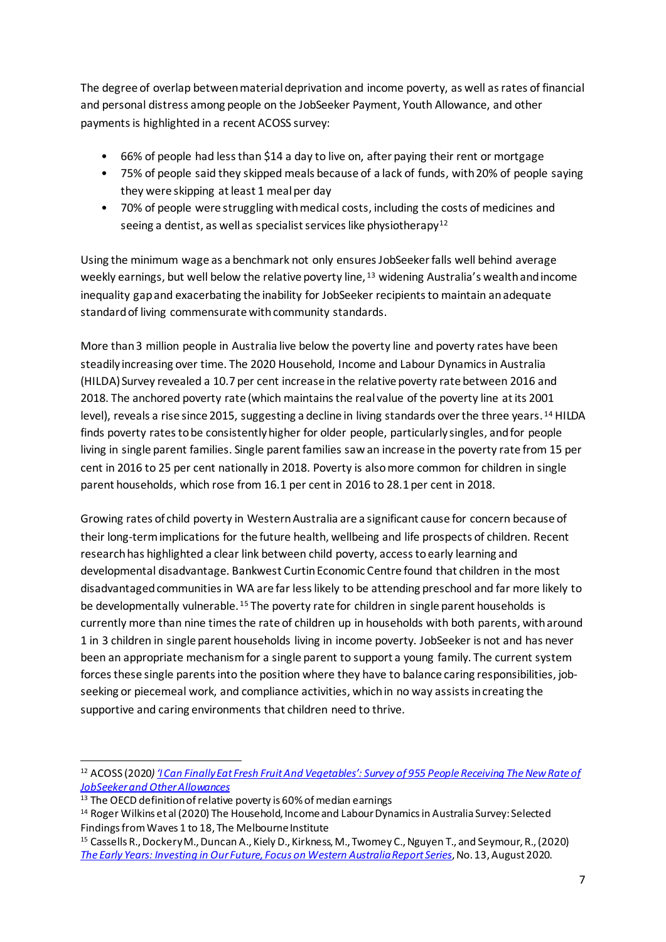The degree of overlap between material deprivation and income poverty, as well as rates of financial and personal distress among people on the JobSeeker Payment, Youth Allowance, and other payments is highlighted in a recent ACOSS survey:

- 66% of people had less than \$14 a day to live on, after paying their rent or mortgage
- 75% of people said they skipped meals because of a lack of funds, with 20% of people saying they were skipping at least 1 meal per day
- 70% of people were struggling with medical costs, including the costs of medicines and seeing a dentist, as well as specialist services like physiotherapy<sup>[12](#page-6-0)</sup>

Using the minimum wage as a benchmark not only ensures JobSeeker falls well behind average weekly earnings, but well below the relative poverty line, <sup>[13](#page-6-1)</sup> widening Australia's wealth and income inequality gap and exacerbating the inability for JobSeeker recipients to maintain an adequate standard of living commensurate with community standards.

More than 3 million people in Australia live below the poverty line and poverty rates have been steadily increasing over time. The 2020 Household, Income and Labour Dynamics in Australia (HILDA) Survey revealed a 10.7 per cent increase in the relative poverty rate between 2016 and 2018. The anchored poverty rate (which maintains the real value of the poverty line at its 2001 level), reveals a rise since 2015, suggesting a decline in living standards over the three years. [14](#page-6-2) HILDA finds poverty rates to be consistently higher for older people, particularly singles, and for people living in single parent families. Single parent families saw an increase in the poverty rate from 15 per cent in 2016 to 25 per cent nationally in 2018. Poverty is also more common for children in single parent households, which rose from 16.1 per cent in 2016 to 28.1 per cent in 2018.

Growing rates of child poverty in Western Australia are a significant cause for concern because of their long-term implications for the future health, wellbeing and life prospects of children. Recent research has highlighted a clear link between child poverty, access to early learning and developmental disadvantage. Bankwest Curtin Economic Centre found that children in the most disadvantaged communities in WA are far less likely to be attending preschool and far more likely to be developmentally vulnerable. <sup>[15](#page-6-3)</sup> The poverty rate for children in single parent households is currently more than nine times the rate of children up in households with both parents, with around 1 in 3 children in single parent households living in income poverty. JobSeeker is not and has never been an appropriate mechanism for a single parent to support a young family. The current system forces these single parents into the position where they have to balance caring responsibilities, jobseeking or piecemeal work, and compliance activities, which in no way assists in creating the supportive and caring environments that children need to thrive.

<span id="page-6-0"></span><sup>12</sup> ACOSS (2020*[\) 'I Can Finally Eat Fresh Fruit And Vegetables': Survey of 955 People Receiving The New Rate of](https://www.acoss.org.au/wp-content/uploads/2020/06/200624-I-Can-Finally-Eat-Fresh-Fruit-And-Vegetables-Results-Of-The-Coronaviru.._.pdf)  [JobSeeker and Other Allowances](https://www.acoss.org.au/wp-content/uploads/2020/06/200624-I-Can-Finally-Eat-Fresh-Fruit-And-Vegetables-Results-Of-The-Coronaviru.._.pdf)*

<span id="page-6-1"></span><sup>&</sup>lt;sup>13</sup> The OECD definition of relative poverty is 60% of median earnings

<span id="page-6-2"></span><sup>14</sup> Roger Wilkins et al (2020) The Household, Income and Labour Dynamics in Australia Survey: Selected Findings from Waves 1 to 18, The Melbourne Institute

<span id="page-6-3"></span><sup>15</sup> Cassells R., Dockery M., Duncan A., Kiely D., Kirkness, M., Twomey C., Nguyen T., and Seymour, R., (2020) *[The Early Years: Investing in Our Future, Focus on Western Australia Report Series](https://bcec.edu.au/assets/2020/08/BCEC-The-Early-Years-Investing-in-Our-Future-Report-2020-270820.pdf)*, No. 13, August 2020.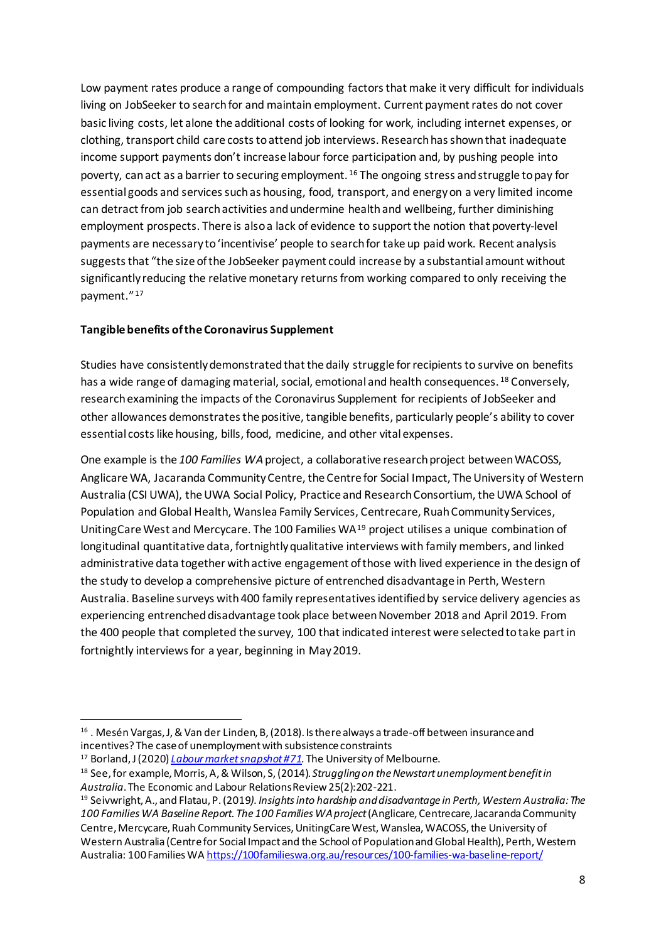Low payment rates produce a range of compounding factors that make it very difficult for individuals living on JobSeeker to search for and maintain employment. Current payment rates do not cover basic living costs, let alone the additional costs of looking for work, including internet expenses, or clothing, transport child care costs to attend job interviews. Research has shown that inadequate income support payments don't increase labour force participation and, by pushing people into poverty, can act as a barrier to securing employment.  $16$  The ongoing stress and struggle to pay for essential goods and services such as housing, food, transport, and energyon a very limited income can detract from job search activities and undermine health and wellbeing, further diminishing employment prospects. There is alsoa lack of evidence to support the notion that poverty-level payments are necessary to 'incentivise' people to search for take up paid work. Recent analysis suggests that "the size of the JobSeeker payment could increase by a substantial amount without significantly reducing the relative monetary returns from working compared to only receiving the payment."<sup>[17](#page-7-1)</sup>

### **Tangible benefits of the Coronavirus Supplement**

Studies have consistently demonstrated that the daily struggle for recipients to survive on benefits has a wide range of damaging material, social, emotional and health consequences.<sup>[18](#page-7-2)</sup> Conversely, research examining the impacts of the Coronavirus Supplement for recipients of JobSeeker and other allowances demonstrates the positive, tangible benefits, particularly people's ability to cover essential costs like housing, bills, food, medicine, and other vital expenses.

One example is the *100 Families WA*project, a collaborative research project between WACOSS, Anglicare WA, Jacaranda Community Centre, the Centre for Social Impact, The University of Western Australia (CSI UWA), the UWA Social Policy, Practice and Research Consortium, the UWA School of Population and Global Health, Wanslea Family Services, Centrecare, Ruah Community Services, UnitingCare West and Mercycare. The 100 Families WA[19](#page-7-3) project utilises a unique combination of longitudinal quantitative data, fortnightly qualitative interviews with family members, and linked administrative data together with active engagement of those with lived experience in the design of the study to develop a comprehensive picture of entrenched disadvantage in Perth, Western Australia. Baseline surveys with 400 family representatives identified by service delivery agencies as experiencing entrenched disadvantage took place between November 2018 and April 2019. From the 400 people that completed the survey, 100 that indicated interest were selected to take part in fortnightly interviews for a year, beginning in May 2019.

<span id="page-7-0"></span><sup>16</sup> . Mesén Vargas, J, & Van der Linden, B, (2018). Is there always a trade-off between insurance and incentives? The case of unemployment with subsistence constraints

<span id="page-7-1"></span><sup>17</sup> Borland, J (2020) *[Labour market snapshot #71.](https://cdn.theconversation.com/static_files/files/1343/Borland_Labour_market_snapshot__71.pdf?1606359052)* The University of Melbourne.

<span id="page-7-2"></span><sup>18</sup> See, for example, Morris, A, & Wilson, S, (2014). *Struggling on the Newstart unemployment benefit in Australia*. The Economic and Labour Relations Review 25(2):202-221.

<span id="page-7-3"></span><sup>19</sup> Seivwright, A., and Flatau, P. (2019*). Insights into hardship and disadvantage in Perth, Western Australia: The 100 Families WA Baseline Report. The 100 Families WA project*(Anglicare, Centrecare, Jacaranda Community Centre, Mercycare, Ruah Community Services, UnitingCare West, Wanslea, WACOSS, the University of Western Australia (Centre for Social Impact and the School of Population and Global Health), Perth, Western Australia: 100 Families W[A https://100familieswa.org.au/resources/100-families-wa-baseline-report/](https://100familieswa.org.au/resources/100-families-wa-baseline-report/)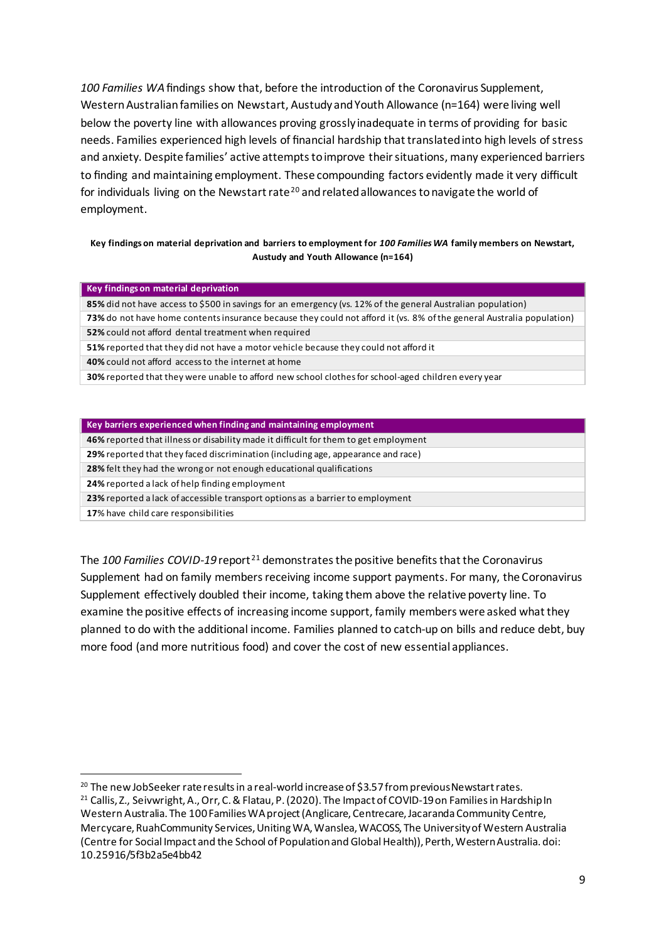*100 Families WA*findings show that, before the introduction of the Coronavirus Supplement, Western Australian families on Newstart, Austudy and Youth Allowance (n=164) were living well below the poverty line with allowances proving grossly inadequate in terms of providing for basic needs. Families experienced high levels of financial hardship that translated into high levels of stress and anxiety. Despite families' active attempts to improve their situations, many experienced barriers to finding and maintaining employment. These compounding factors evidently made it very difficult for individuals living on the Newstart rate<sup>[20](#page-8-0)</sup> and related allowances to navigate the world of employment.

#### **Key findings on material deprivation and barriers to employment for** *100 Families WA* **family members on Newstart, Austudy and Youth Allowance (n=164)**

#### **Key findings on material deprivation**

**85%** did not have access to \$500 in savings for an emergency (vs. 12% of the general Australian population)

**73%** do not have home contents insurance because they could not afford it (vs. 8% of the general Australia population) **52%** could not afford dental treatment when required

**51%** reported that they did not have a motor vehicle because they could not afford it

**40%** could not afford access to the internet at home

**30%** reported that they were unable to afford new school clothes for school-aged children every year

|  | Key barriers experienced when finding and maintaining employment |  |
|--|------------------------------------------------------------------|--|
|--|------------------------------------------------------------------|--|

**46%** reported that illness or disability made it difficult for them to get employment

**29%** reported that they faced discrimination (including age, appearance and race)

**28%** felt they had the wrong or not enough educational qualifications

**24%** reported a lack of help finding employment

**23%** reported a lack of accessible transport options as a barrier to employment

**17**% have child care responsibilities

The *100 Families COVID-19* report [21](#page-8-1) demonstrates the positive benefits that the Coronavirus Supplement had on family members receiving income support payments. For many, the Coronavirus Supplement effectively doubled their income, taking them above the relative poverty line. To examine the positive effects of increasing income support, family members were asked what they planned to do with the additional income. Families planned to catch-up on bills and reduce debt, buy more food (and more nutritious food) and cover the cost of new essential appliances.

<span id="page-8-1"></span><sup>21</sup> Callis, Z., Seivwright, A., Orr, C. & Flatau, P. (2020). The Impact of COVID-19 on Families in Hardship In Western Australia. The 100 Families WA project (Anglicare, Centrecare, Jacaranda Community Centre, Mercycare, RuahCommunity Services, Uniting WA, Wanslea, WACOSS, The University of Western Australia (Centre for Social Impact and the School of Population and Global Health)), Perth, Western Australia. doi: 10.25916/5f3b2a5e4bb42

<span id="page-8-0"></span><sup>&</sup>lt;sup>20</sup> The new JobSeeker rate results in a real-world increase of \$3.57 from previous Newstart rates.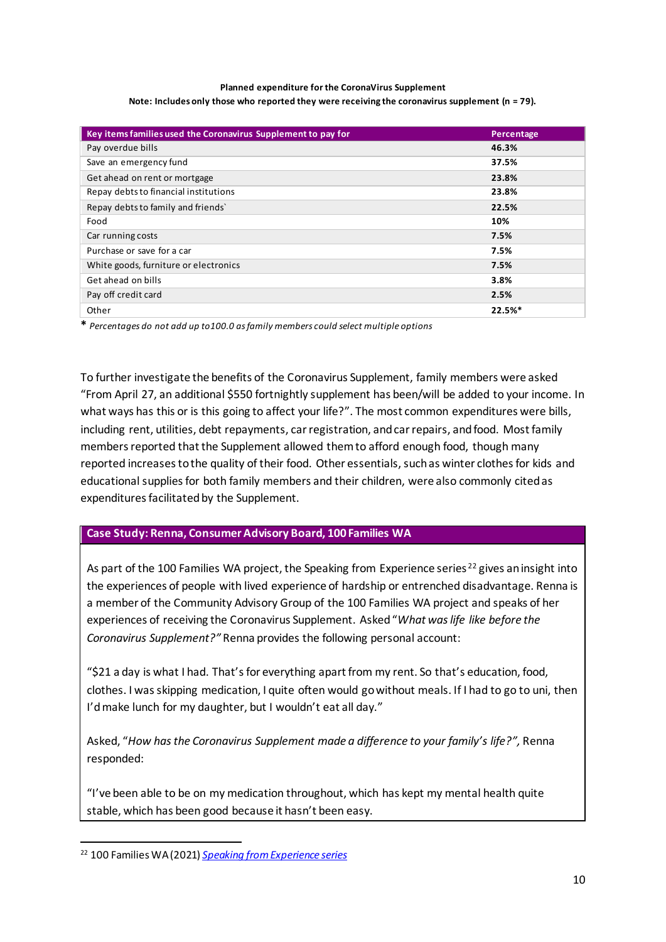#### **Planned expenditure for the CoronaVirus Supplement Note: Includes only those who reported they were receiving the coronavirus supplement (n = 79).**

| Key items families used the Coronavirus Supplement to pay for | Percentage |
|---------------------------------------------------------------|------------|
| Pay overdue bills                                             | 46.3%      |
| Save an emergency fund                                        | 37.5%      |
| Get ahead on rent or mortgage                                 | 23.8%      |
| Repay debts to financial institutions                         | 23.8%      |
| Repay debts to family and friends'                            | 22.5%      |
| Food                                                          | 10%        |
| Car running costs                                             | 7.5%       |
| Purchase or save for a car                                    | 7.5%       |
| White goods, furniture or electronics                         | 7.5%       |
| Get ahead on bills                                            | 3.8%       |
| Pay off credit card                                           | 2.5%       |
| Other                                                         | 22.5%*     |

**\*** *Percentages do not add up to100.0 as family members could select multiple options*

To further investigate the benefits of the Coronavirus Supplement, family members were asked "From April 27, an additional \$550 fortnightly supplement has been/will be added to your income. In what ways has this or is this going to affect your life?". The most common expenditures were bills, including rent, utilities, debt repayments, car registration, and car repairs, and food. Most family members reported that the Supplement allowed them to afford enough food, though many reported increases to the quality of their food. Other essentials, such as winter clothes for kids and educational supplies for both family members and their children, were also commonly cited as expenditures facilitated by the Supplement.

# **Case Study: Renna, Consumer Advisory Board, 100 Families WA**

As part of the 100 Families WA project, the Speaking from Experience series<sup>[22](#page-9-0)</sup> gives an insight into the experiences of people with lived experience of hardship or entrenched disadvantage. Renna is a member of the Community Advisory Group of the 100 Families WA project and speaks of her experiences of receiving the Coronavirus Supplement. Asked "*What was life like before the Coronavirus Supplement?"* Renna provides the following personal account:

"\$21 a day is what I had. That's for everything apart from my rent. So that's education, food, clothes. I was skipping medication, I quite often would go without meals. If I had to go to uni, then I'd make lunch for my daughter, but I wouldn't eat all day."

Asked, "*How has the Coronavirus Supplement made a difference to your family's life?",* Renna responded:

"I've been able to be on my medication throughout, which has kept my mental health quite stable, which has been good because it hasn't been easy.

<span id="page-9-0"></span><sup>22</sup> 100 Families WA (2021) *[Speaking from Experience series](https://100familieswa.org.au/resources/cat/speaking-from-experience-series/)*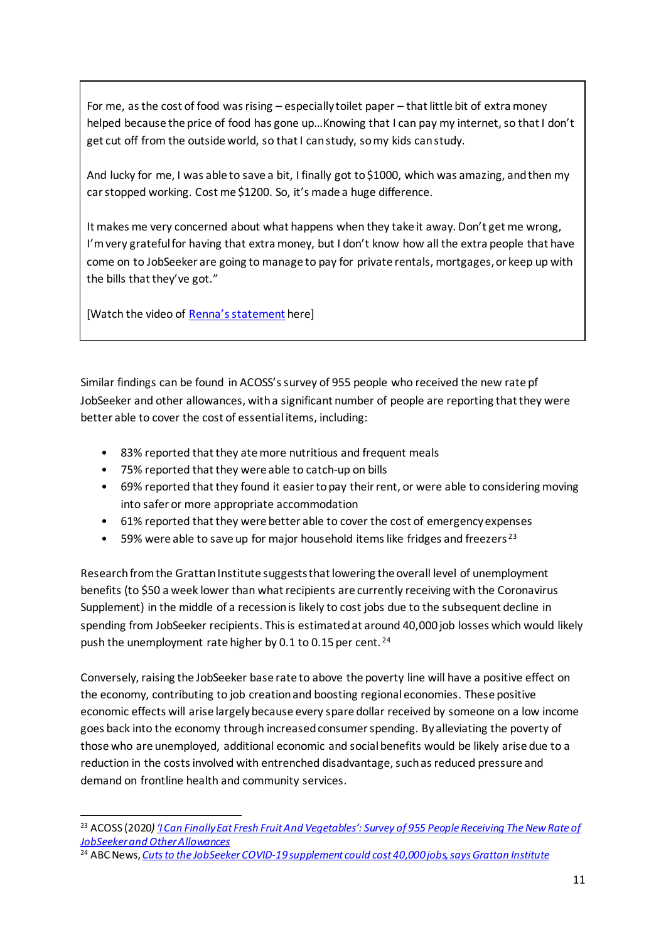For me, as the cost of food was rising – especially toilet paper – that little bit of extra money helped because the price of food has gone up…Knowing that I can pay my internet, so that I don't get cut off from the outside world, so that I can study, so my kids can study.

And lucky for me, I was able to save a bit, I finally got to \$1000, which was amazing, and then my car stopped working. Cost me \$1200. So, it's made a huge difference.

It makes me very concerned about what happens when they take it away. Don't get me wrong, I'm very grateful for having that extra money, but I don't know how all the extra people that have come on to JobSeeker are going to manage to pay for private rentals, mortgages, or keep up with the bills that they've got."

[Watch the video of [Renna's statement](https://www.youtube.com/watch?v=4XuwZJZ63u0) here]

Similar findings can be found in ACOSS's survey of 955 people who received the new rate pf JobSeeker and other allowances, with a significant number of people are reporting that they were better able to cover the cost of essential items, including:

- 83% reported that they ate more nutritious and frequent meals
- 75% reported that they were able to catch-up on bills
- 69% reported that they found it easier to pay their rent, or were able to considering moving into safer or more appropriate accommodation
- 61% reported that they were better able to cover the cost of emergency expenses
- 59% were able to save up for major household items like fridges and freezers<sup>[23](#page-10-0)</sup>

Research from the Grattan Institute suggests that lowering the overall level of unemployment benefits (to \$50 a week lower than what recipients are currently receiving with the Coronavirus Supplement) in the middle of a recession is likely to cost jobs due to the subsequent decline in spending from JobSeeker recipients. This is estimated at around 40,000 job losses which would likely push the unemployment rate higher by 0.1 to 0.15 per cent.<sup>24</sup>

Conversely, raising the JobSeeker base rate to above the poverty line will have a positive effect on the economy, contributing to job creation and boosting regional economies. These positive economic effects will arise largely because every spare dollar received by someone on a low income goes back into the economy through increased consumer spending. By alleviating the poverty of those who are unemployed, additional economic and socialbenefits would be likely arise due to a reduction in the costs involved with entrenched disadvantage, such as reduced pressure and demand on frontline health and community services.

<span id="page-10-0"></span><sup>&</sup>lt;sup>23</sup> ACOSS (2020) '<u>I Can Finally Eat Fresh Fruit And Vegetables': Survey of 955 People Receiving The New Rate of</u> *[JobSeeker and Other Allowances](https://www.acoss.org.au/wp-content/uploads/2020/06/200624-I-Can-Finally-Eat-Fresh-Fruit-And-Vegetables-Results-Of-The-Coronaviru.._.pdf)*

<span id="page-10-1"></span><sup>24</sup> ABC News, *[Cuts to the JobSeeker COVID-19 supplement could cost 40,000 jobs, says Grattan Institute](https://www.abc.net.au/news/2021-02-26/grattan-institute-jobseeker-cuts-could-cost-40000-jobs/13192834)*